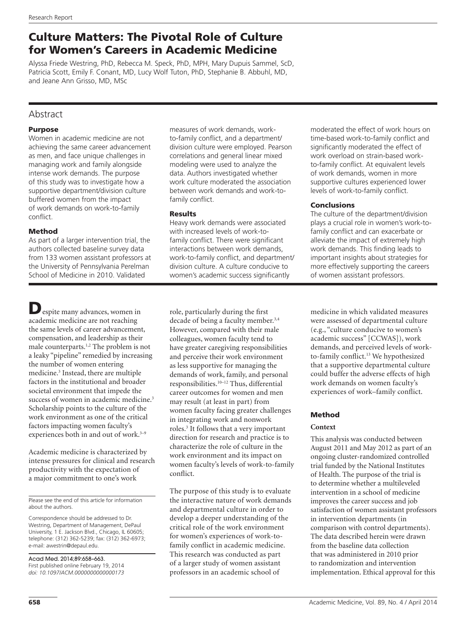# Culture Matters: The Pivotal Role of Culture for Women's Careers in Academic Medicine

Alyssa Friede Westring, PhD, Rebecca M. Speck, PhD, MPH, Mary Dupuis Sammel, ScD, Patricia Scott, Emily F. Conant, MD, Lucy Wolf Tuton, PhD, Stephanie B. Abbuhl, MD, and Jeane Ann Grisso, MD, MSc

# Abstract

### Purpose

Women in academic medicine are not achieving the same career advancement as men, and face unique challenges in managing work and family alongside intense work demands. The purpose of this study was to investigate how a supportive department/division culture buffered women from the impact of work demands on work-to-family conflict.

# Method

As part of a larger intervention trial, the authors collected baseline survey data from 133 women assistant professors at the University of Pennsylvania Perelman School of Medicine in 2010. Validated

Despite many advances, women in academic medicine are not reaching the same levels of career advancement, compensation, and leadership as their male counterparts.1,2 The problem is not a leaky "pipeline" remedied by increasing the number of women entering medicine.<sup>3</sup> Instead, there are multiple factors in the institutional and broader societal environment that impede the success of women in academic medicine.<sup>3</sup> Scholarship points to the culture of the work environment as one of the critical factors impacting women faculty's experiences both in and out of work.<sup>3-9</sup>

Academic medicine is characterized by intense pressures for clinical and research productivity with the expectation of a major commitment to one's work

Please see the end of this article for information about the authors.

Correspondence should be addressed to Dr. Westring, Department of Management, DePaul University, 1 E. Jackson Blvd., Chicago, IL 60605; telephone: (312) 362-5239; fax: (312) 362-6973; e-mail: [awestrin@depaul.edu](mailto:awestrin@depaul.edu).

Acad Med. 2014;89:658–663. First published online February 19, 2014 *doi: 10.1097/ACM.0000000000000173* measures of work demands, workto-family conflict, and a department/ division culture were employed. Pearson correlations and general linear mixed modeling were used to analyze the data. Authors investigated whether work culture moderated the association between work demands and work-tofamily conflict.

### Results

Heavy work demands were associated with increased levels of work-tofamily conflict. There were significant interactions between work demands, work-to-family conflict, and department/ division culture. A culture conducive to women's academic success significantly

role, particularly during the first decade of being a faculty member.<sup>3,4</sup> However, compared with their male colleagues, women faculty tend to have greater caregiving responsibilities and perceive their work environment as less supportive for managing the demands of work, family, and personal responsibilities.10–12 Thus, differential career outcomes for women and men may result (at least in part) from women faculty facing greater challenges in integrating work and nonwork roles.3 It follows that a very important direction for research and practice is to characterize the role of culture in the work environment and its impact on women faculty's levels of work-to-family conflict.

The purpose of this study is to evaluate the interactive nature of work demands and departmental culture in order to develop a deeper understanding of the critical role of the work environment for women's experiences of work-tofamily conflict in academic medicine. This research was conducted as part of a larger study of women assistant professors in an academic school of

moderated the effect of work hours on time-based work-to-family conflict and significantly moderated the effect of work overload on strain-based workto-family conflict. At equivalent levels of work demands, women in more supportive cultures experienced lower levels of work-to-family conflict.

### **Conclusions**

The culture of the department/division plays a crucial role in women's work-tofamily conflict and can exacerbate or alleviate the impact of extremely high work demands. This finding leads to important insights about strategies for more effectively supporting the careers of women assistant professors.

medicine in which validated measures were assessed of departmental culture (e.g., "culture conducive to women's academic success" [CCWAS]), work demands, and perceived levels of workto-family conflict.<sup>13</sup> We hypothesized that a supportive departmental culture could buffer the adverse effects of high work demands on women faculty's experiences of work–family conflict.

# Method

# **Context**

This analysis was conducted between August 2011 and May 2012 as part of an ongoing cluster-randomized controlled trial funded by the National Institutes of Health. The purpose of the trial is to determine whether a multileveled intervention in a school of medicine improves the career success and job satisfaction of women assistant professors in intervention departments (in comparison with control departments). The data described herein were drawn from the baseline data collection that was administered in 2010 prior to randomization and intervention implementation. Ethical approval for this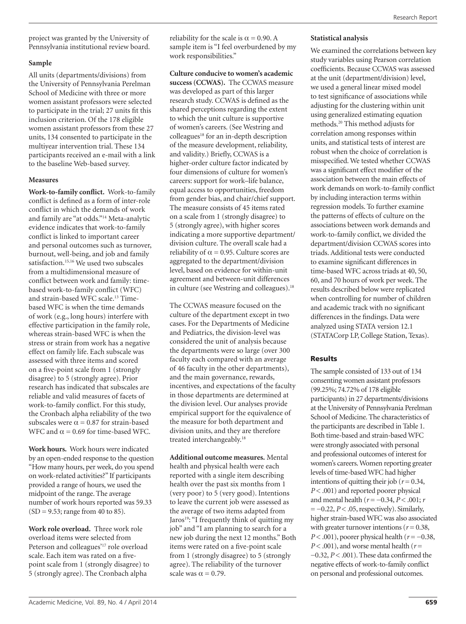project was granted by the University of Pennsylvania institutional review board.

# **Sample**

All units (departments/divisions) from the University of Pennsylvania Perelman School of Medicine with three or more women assistant professors were selected to participate in the trial; 27 units fit this inclusion criterion. Of the 178 eligible women assistant professors from these 27 units, 134 consented to participate in the multiyear intervention trial. These 134 participants received an e-mail with a link to the baseline Web-based survey.

# **Measures**

**Work-to-family conflict.** Work-to-family conflict is defined as a form of inter-role conflict in which the demands of work and family are "at odds."14 Meta-analytic evidence indicates that work-to-family conflict is linked to important career and personal outcomes such as turnover, burnout, well-being, and job and family satisfaction.<sup>15,16</sup> We used two subscales from a multidimensional measure of conflict between work and family: timebased work-to-family conflict (WFC) and strain-based WFC scale<sup>13</sup> Timebased WFC is when the time demands of work (e.g., long hours) interfere with effective participation in the family role, whereas strain-based WFC is when the stress or strain from work has a negative effect on family life. Each subscale was assessed with three items and scored on a five-point scale from 1 (strongly disagree) to 5 (strongly agree). Prior research has indicated that subscales are reliable and valid measures of facets of work-to-family conflict. For this study, the Cronbach alpha reliability of the two subscales were  $\alpha = 0.87$  for strain-based WFC and  $\alpha = 0.69$  for time-based WFC.

**Work hours.** Work hours were indicated by an open-ended response to the question "How many hours, per week, do you spend on work-related activities?" If participants provided a range of hours, we used the midpoint of the range. The average number of work hours reported was 59.33 (SD = 9.53; range from 40 to 85).

**Work role overload.** Three work role overload items were selected from Peterson and colleagues'17 role overload scale. Each item was rated on a fivepoint scale from 1 (strongly disagree) to 5 (strongly agree). The Cronbach alpha

reliability for the scale is  $\alpha = 0.90$ . A sample item is "I feel overburdened by my work responsibilities."

**Culture conducive to women's academic success (CCWAS).** The CCWAS measure was developed as part of this larger research study. CCWAS is defined as the shared perceptions regarding the extent to which the unit culture is supportive of women's careers. (See Westring and colleagues<sup>18</sup> for an in-depth description of the measure development, reliability, and validity.) Briefly, CCWAS is a higher-order culture factor indicated by four dimensions of culture for women's careers: support for work–life balance, equal access to opportunities, freedom from gender bias, and chair/chief support. The measure consists of 45 items rated on a scale from 1 (strongly disagree) to 5 (strongly agree), with higher scores indicating a more supportive department/ division culture. The overall scale had a reliability of  $\alpha$  = 0.95. Culture scores are aggregated to the department/division level, based on evidence for within-unit agreement and between-unit differences in culture (see Westring and colleagues).<sup>18</sup>

The CCWAS measure focused on the culture of the department except in two cases. For the Departments of Medicine and Pediatrics, the division-level was considered the unit of analysis because the departments were so large (over 300 faculty each compared with an average of 46 faculty in the other departments), and the main governance, rewards, incentives, and expectations of the faculty in those departments are determined at the division level. Our analyses provide empirical support for the equivalence of the measure for both department and division units, and they are therefore treated interchangeably.<sup>18</sup>

**Additional outcome measures.** Mental health and physical health were each reported with a single item describing health over the past six months from 1 (very poor) to 5 (very good). Intentions to leave the current job were assessed as the average of two items adapted from Jaros<sup>19</sup>: "I frequently think of quitting my job" and "I am planning to search for a new job during the next 12 months." Both items were rated on a five-point scale from 1 (strongly disagree) to 5 (strongly agree). The reliability of the turnover scale was  $\alpha = 0.79$ .

# **Statistical analysis**

We examined the correlations between key study variables using Pearson correlation coefficients. Because CCWAS was assessed at the unit (department/division) level, we used a general linear mixed model to test significance of associations while adjusting for the clustering within unit using generalized estimating equation methods.20 This method adjusts for correlation among responses within units, and statistical tests of interest are robust when the choice of correlation is misspecified. We tested whether CCWAS was a significant effect modifier of the association between the main effects of work demands on work-to-family conflict by including interaction terms within regression models. To further examine the patterns of effects of culture on the associations between work demands and work-to-family conflict, we divided the department/division CCWAS scores into triads. Additional tests were conducted to examine significant differences in time-based WFC across triads at 40, 50, 60, and 70 hours of work per week. The results described below were replicated when controlling for number of children and academic track with no significant differences in the findings. Data were analyzed using STATA version 12.1 (STATACorp LP, College Station, Texas).

# Results

The sample consisted of 133 out of 134 consenting women assistant professors (99.25%; 74.72% of 178 eligible participants) in 27 departments/divisions at the University of Pennsylvania Perelman School of Medicine. The characteristics of the participants are described in Table 1. Both time-based and strain-based WFC were strongly associated with personal and professional outcomes of interest for women's careers. Women reporting greater levels of time-based WFC had higher intentions of quitting their job ( $r = 0.34$ , *P* < .001) and reported poorer physical and mental health (*r* = −0.34, *P* < .001; *r*  $= -0.22, P < .05$ , respectively). Similarly, higher strain-based WFC was also associated with greater turnover intentions ( $r = 0.38$ , *P* < .001), poorer physical health ( $r = -0.38$ ,  $P < .001$ ), and worse mental health ( $r =$ −0.32, *P* < .001). These data confirmed the negative effects of work-to-family conflict on personal and professional outcomes.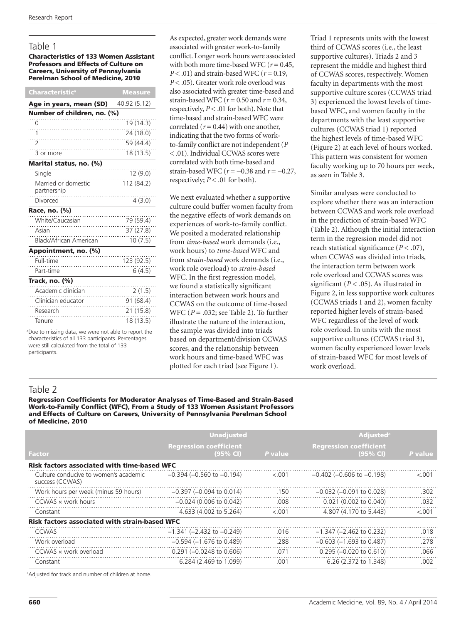# Table 1

Characteristics of 133 Women Assistant Professors and Effects of Culture on Careers, University of Pennsylvania Perelman School of Medicine, 2010

| Characteristic <sup>a</sup>                                   | <b>Measure</b> |  |  |  |
|---------------------------------------------------------------|----------------|--|--|--|
| 40.92 (5.12)<br>Age in years, mean (SD)                       |                |  |  |  |
| Number of children, no. (%)                                   |                |  |  |  |
|                                                               | 19 (14.3)      |  |  |  |
|                                                               | 24 (18.0)      |  |  |  |
| $\overline{\phantom{0}}$                                      | 59 (44.4)      |  |  |  |
| 3 or more                                                     | 18 (13.5)      |  |  |  |
| Marital status, no. (%)                                       |                |  |  |  |
| Single<br>.                                                   | 12(9.0)        |  |  |  |
| Married or domestic<br>partnership<br>.                       | 112 (84.2)     |  |  |  |
| Divorced                                                      | 4(3.0)         |  |  |  |
| Race, no. (%)<br>.                                            |                |  |  |  |
| White/Caucasian<br>.                                          | 79 (59.4)      |  |  |  |
| Asian<br>.                                                    | 37 (27.8)      |  |  |  |
| Black/African American                                        | 10(7.5)        |  |  |  |
| Appointment, no. (%)                                          |                |  |  |  |
| Full-time                                                     | 123 (92.5)     |  |  |  |
| Part-time                                                     | 6(4.5)         |  |  |  |
| Track, no. (%)<br>.                                           |                |  |  |  |
| Academic clinician<br>.                                       | 2(1.5)         |  |  |  |
| Clinician educator<br>-<br>                                   | 91 (68.4)      |  |  |  |
| Research                                                      | 21 (15.8)      |  |  |  |
| Tenure<br>Dua ta missina data uus uusa nat akla ta sanast the | 18 (13.5)      |  |  |  |

a Due to missing data, we were not able to report the characteristics of all 133 participants. Percentages were still calculated from the total of 133 participants.

As expected, greater work demands were associated with greater work-to-family conflict. Longer work hours were associated with both more time-based WFC ( $r = 0.45$ , *P* < .01) and strain-based WFC (*r* = 0.19, *P* < .05). Greater work role overload was also associated with greater time-based and strain-based WFC (*r* = 0.50 and *r* = 0.34, respectively, *P* < .01 for both). Note that time-based and strain-based WFC were correlated  $(r = 0.44)$  with one another, indicating that the two forms of workto-family conflict are not independent (*P* < .01). Individual CCWAS scores were correlated with both time-based and strain-based WFC ( $r = -0.38$  and  $r = -0.27$ , respectively; *P* < .01 for both).

We next evaluated whether a supportive culture could buffer women faculty from the negative effects of work demands on experiences of work-to-family conflict. We posited a moderated relationship from *time-based* work demands (i.e., work hours) to *time-based* WFC and from *strain-based* work demands (i.e., work role overload) to *strain-based* WFC. In the first regression model, we found a statistically significant interaction between work hours and CCWAS on the outcome of time-based WFC ( $P = .032$ ; see Table 2). To further illustrate the nature of the interaction, the sample was divided into triads based on department/division CCWAS scores, and the relationship between work hours and time-based WFC was plotted for each triad (see Figure 1).

Triad 1 represents units with the lowest third of CCWAS scores (i.e., the least supportive cultures). Triads 2 and 3 represent the middle and highest third of CCWAS scores, respectively. Women faculty in departments with the most supportive culture scores (CCWAS triad 3) experienced the lowest levels of timebased WFC, and women faculty in the departments with the least supportive cultures (CCWAS triad 1) reported the highest levels of time-based WFC (Figure 2) at each level of hours worked. This pattern was consistent for women faculty working up to 70 hours per week, as seen in Table 3.

Similar analyses were conducted to explore whether there was an interaction between CCWAS and work role overload in the prediction of strain-based WFC (Table 2). Although the initial interaction term in the regression model did not reach statistical significance (*P* < .07), when CCWAS was divided into triads, the interaction term between work role overload and CCWAS scores was significant (*P* < .05). As illustrated in Figure 2, in less supportive work cultures (CCWAS triads 1 and 2), women faculty reported higher levels of strain-based WFC regardless of the level of work role overload. In units with the most supportive cultures (CCWAS triad 3), women faculty experienced lower levels of strain-based WFC for most levels of work overload.

# Table 2

Regression Coefficients for Moderator Analyses of Time-Based and Strain-Based Work-to-Family Conflict (WFC), From a Study of 133 Women Assistant Professors and Effects of Culture on Careers, University of Pennsylvania Perelman School of Medicine, 2010

|                                                          | <b>Unadjusted</b>                         |         | Adjusted                                  |         |
|----------------------------------------------------------|-------------------------------------------|---------|-------------------------------------------|---------|
| <b>Factor</b>                                            | <b>Regression coefficient</b><br>(95% CI) | P value | <b>Regression coefficient</b><br>(95% CI) | P value |
| <b>Risk factors associated with time-based WFC</b>       |                                           |         |                                           |         |
| Culture conducive to women's academic<br>success (CCWAS) | $-0.394$ ( $-0.560$ to $-0.194$ )         | < 0.01  | $-0.402$ ( $-0.606$ to $-0.198$ )         | < 0.01  |
| Work hours per week (minus 59 hours)                     | $-0.397$ ( $-0.094$ to 0.014)             | .150    | $-0.032$ ( $-0.091$ to 0.028)             | .302    |
| CCWAS x work hours                                       | $-0.024$ (0.006 to 0.042)                 | .008    | 0.021 (0.002 to 0.040)                    | .032    |
| Constant                                                 | 4.633 (4.002 to 5.264)                    | < 0.01  | 4.807 (4.170 to 5.443)                    | $-.001$ |
| <b>Risk factors associated with strain-based WFC</b>     |                                           |         |                                           |         |
| CCWAS                                                    | $-1.341$ ( $-2.432$ to $-0.249$ )         | .016    | $-1.347$ ( $-2.462$ to 0.232)             | .018    |
| Work overload                                            | $-0.594$ ( $-1.676$ to 0.489)             | .288    | $-0.603$ ( $-1.693$ to 0.487)             | .278    |
| CCWAS x work overload                                    | $0.291 (-0.0248 \text{ to } 0.606)$       | .071    | $0.295 (-0.020)$ to $0.610$               | 066     |
| Constant                                                 | 6.284 (2.469 to 1.099)                    | .001    | 6.26 (2.372 to 1.348)                     | .002    |

aAdjusted for track and number of children at home.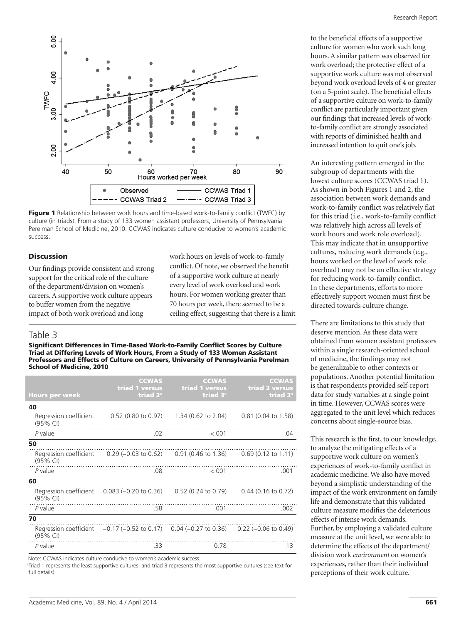

Figure 1 Relationship between work hours and time-based work-to-family conflict (TWFC) by culture (in triads). From a study of 133 women assistant professors, University of Pennsylvania Perelman School of Medicine, 2010. CCWAS indicates culture conducive to women's academic success.

#### Discussion

Our findings provide consistent and strong support for the critical role of the culture of the department/division on women's careers. A supportive work culture appears to buffer women from the negative impact of both work overload and long

work hours on levels of work-to-family conflict. Of note, we observed the benefit of a supportive work culture at nearly every level of work overload and work hours. For women working greater than 70 hours per week, there seemed to be a ceiling effect, suggesting that there is a limit

#### Table 3

Significant Differences in Time-Based Work-to-Family Conflict Scores by Culture Triad at Differing Levels of Work Hours, From a Study of 133 Women Assistant Professors and Effects of Culture on Careers, University of Pennsylvania Perelman School of Medicine, 2010

| <b>Hours per week</b>                        | <b>CCWAS</b><br>triad 1 versus<br>triad 2 <sup>a</sup>          | <b>CCWAS</b><br>triad 1 versus<br>triad 3 <sup>ª</sup> | <b>CCWAS</b><br>triad 2 versus<br>triad 3 <sup>ª</sup> |
|----------------------------------------------|-----------------------------------------------------------------|--------------------------------------------------------|--------------------------------------------------------|
| 40                                           |                                                                 |                                                        |                                                        |
| Regression coefficient<br>$(95% \text{ Cl})$ | $0.52$ (0.80 to 0.97)                                           | 1.34 (0.62 to 2.04)                                    | $0.81$ (0.04 to 1.58)                                  |
| P value                                      | .02                                                             | $-.001$                                                | .04                                                    |
| 50                                           |                                                                 |                                                        |                                                        |
| (95% CI)                                     | Regression coefficient 0.29 (-0.03 to 0.62) 0.91 (0.46 to 1.36) |                                                        | $0.69$ (0.12 to 1.11)                                  |
| P value                                      | .08                                                             | &0.01                                                  | .001                                                   |
| 60                                           |                                                                 |                                                        |                                                        |
| Regression coefficient<br>$(95%$ CI)         | 0.083 (–0.20 to 0.36)                                           | $0.52$ (0.24 to 0.79)                                  | $0.44$ (0.16 to 0.72)                                  |
| P value                                      | .58                                                             | .001                                                   | .002                                                   |
| 70                                           |                                                                 |                                                        |                                                        |
| Regression coefficient<br>(95% CI)           | $-0.17$ (-0.52 to 0.17) 0.04 (-0.27 to 0.36)                    |                                                        | $0.22$ (-0.06 to 0.49)                                 |
| P value                                      | .33                                                             | 0.78                                                   | .13                                                    |

Note: CCWAS indicates culture conducive to women's academic success.

 aTriad 1 represents the least supportive cultures, and triad 3 represents the most supportive cultures (see text for full details).

to the beneficial effects of a supportive culture for women who work such long hours. A similar pattern was observed for work overload; the protective effect of a supportive work culture was not observed beyond work overload levels of 4 or greater (on a 5-point scale). The beneficial effects of a supportive culture on work-to-family conflict are particularly important given our findings that increased levels of workto-family conflict are strongly associated with reports of diminished health and increased intention to quit one's job.

An interesting pattern emerged in the subgroup of departments with the lowest culture scores (CCWAS triad 1). As shown in both Figures 1 and 2, the association between work demands and work-to-family conflict was relatively flat for this triad (i.e., work-to-family conflict was relatively high across all levels of work hours and work role overload). This may indicate that in unsupportive cultures, reducing work demands (e.g., hours worked or the level of work role overload) may not be an effective strategy for reducing work-to-family conflict. In these departments, efforts to more effectively support women must first be directed towards culture change.

There are limitations to this study that deserve mention. As these data were obtained from women assistant professors within a single research-oriented school of medicine, the findings may not be generalizable to other contexts or populations. Another potential limitation is that respondents provided self-report data for study variables at a single point in time. However, CCWAS scores were aggregated to the unit level which reduces concerns about single-source bias.

This research is the first, to our knowledge, to analyze the mitigating effects of a supportive work culture on women's experiences of work-to-family conflict in academic medicine. We also have moved beyond a simplistic understanding of the impact of the work environment on family life and demonstrate that this validated culture measure modifies the deleterious effects of intense work demands. Further, by employing a validated culture measure at the unit level, we were able to determine the effects of the department/ division work *environment* on women's experiences, rather than their individual perceptions of their work culture.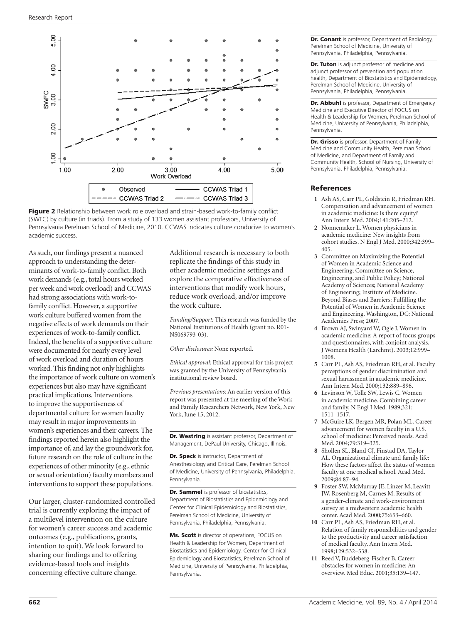



As such, our findings present a nuanced approach to understanding the determinants of work-to-family conflict. Both work demands (e.g., total hours worked per week and work overload) and CCWAS had strong associations with work-tofamily conflict. However, a supportive work culture buffered women from the negative effects of work demands on their experiences of work-to-family conflict. Indeed, the benefits of a supportive culture were documented for nearly every level of work overload and duration of hours worked. This finding not only highlights the importance of work culture on women's experiences but also may have significant practical implications. Interventions to improve the supportiveness of departmental culture for women faculty may result in major improvements in women's experiences and their careers. The findings reported herein also highlight the importance of, and lay the groundwork for, future research on the role of culture in the experiences of other minority (e.g., ethnic or sexual orientation) faculty members and interventions to support these populations.

Our larger, cluster-randomized controlled trial is currently exploring the impact of a multilevel intervention on the culture for women's career success and academic outcomes (e.g., publications, grants, intention to quit). We look forward to sharing our findings and to offering evidence-based tools and insights concerning effective culture change.

Additional research is necessary to both replicate the findings of this study in other academic medicine settings and explore the comparative effectiveness of interventions that modify work hours, reduce work overload, and/or improve the work culture.

*Funding/Support:* This research was funded by the National Institutions of Health (grant no. R01- NS069793-03).

*Other disclosures:* None reported.

*Ethical approval:* Ethical approval for this project was granted by the University of Pennsylvania institutional review board.

*Previous presentations:* An earlier version of this report was presented at the meeting of the Work and Family Researchers Network, New York, New York, June 15, 2012.

Dr. Westring is assistant professor, Department of Management, DePaul University, Chicago, Illinois.

Dr. Speck is instructor, Department of Anesthesiology and Critical Care, Perelman School of Medicine, University of Pennsylvania, Philadelphia, Pennsylvania.

**Dr. Sammel** is professor of biostatistics, Department of Biostatistics and Epidemiology and Center for Clinical Epidemiology and Biostatistics, Perelman School of Medicine, University of Pennsylvania, Philadelphia, Pennsylvania.

Ms. Scott is director of operations, FOCUS on Health & Leadership for Women, Department of Biostatistics and Epidemiology, Center for Clinical Epidemiology and Biostatistics, Perelman School of Medicine, University of Pennsylvania, Philadelphia, Pennsylvania.

**Dr. Conant** is professor, Department of Radiology, Perelman School of Medicine, University of Pennsylvania, Philadelphia, Pennsylvania.

Dr. Tuton is adjunct professor of medicine and adjunct professor of prevention and population health, Department of Biostatistics and Epidemiology, Perelman School of Medicine, University of Pennsylvania, Philadelphia, Pennsylvania.

Dr. Abbuhl is professor, Department of Emergency Medicine and Executive Director of FOCUS on Health & Leadership for Women, Perelman School of Medicine, University of Pennsylvania, Philadelphia, Pennsylvania.

Dr. Grisso is professor, Department of Family Medicine and Community Health, Perelman School of Medicine, and Department of Family and Community Health, School of Nursing, University of Pennsylvania, Philadelphia, Pennsylvania.

#### **References**

- **1** Ash AS, Carr PL, Goldstein R, Friedman RH. Compensation and advancement of women in academic medicine: Is there equity? Ann Intern Med. 2004;141:205–212.
- **2** Nonnemaker L. Women physicians in academic medicine: New insights from cohort studies. N Engl J Med. 2000;342:399– 405.
- **3** Committee on Maximizing the Potential of Women in Academic Science and Engineering; Committee on Science, Engineering, and Public Policy; National Academy of Sciences; National Academy of Engineering; Institute of Medicine. Beyond Biases and Barriers: Fulfilling the Potential of Women in Academic Science and Engineering. Washington, DC: National Academies Press; 2007.
- **4** Brown AJ, Swinyard W, Ogle J. Women in academic medicine: A report of focus groups and questionnaires, with conjoint analysis. J Womens Health (Larchmt). 2003;12:999– 1008.
- **5** Carr PL, Ash AS, Friedman RH, et al. Faculty perceptions of gender discrimination and sexual harassment in academic medicine. Ann Intern Med. 2000;132:889–896.
- **6** Levinson W, Tolle SW, Lewis C. Women in academic medicine. Combining career and family. N Engl J Med. 1989;321: 1511–1517.
- **7** McGuire LK, Bergen MR, Polan ML. Career advancement for women faculty in a U.S. school of medicine: Perceived needs. Acad Med. 2004;79:319–325.
- **8** Shollen SL, Bland CJ, Finstad DA, Taylor AL. Organizational climate and family life: How these factors affect the status of women faculty at one medical school. Acad Med. 2009;84:87–94.
- **9** Foster SW, McMurray JE, Linzer M, Leavitt JW, Rosenberg M, Carnes M. Results of a gender-climate and work-environment survey at a midwestern academic health center. Acad Med. 2000;75:653–660.
- **10** Carr PL, Ash AS, Friedman RH, et al. Relation of family responsibilities and gender to the productivity and career satisfaction of medical faculty. Ann Intern Med. 1998;129:532–538.
- **11** Reed V, Buddeberg-Fischer B. Career obstacles for women in medicine: An overview. Med Educ. 2001;35:139–147.